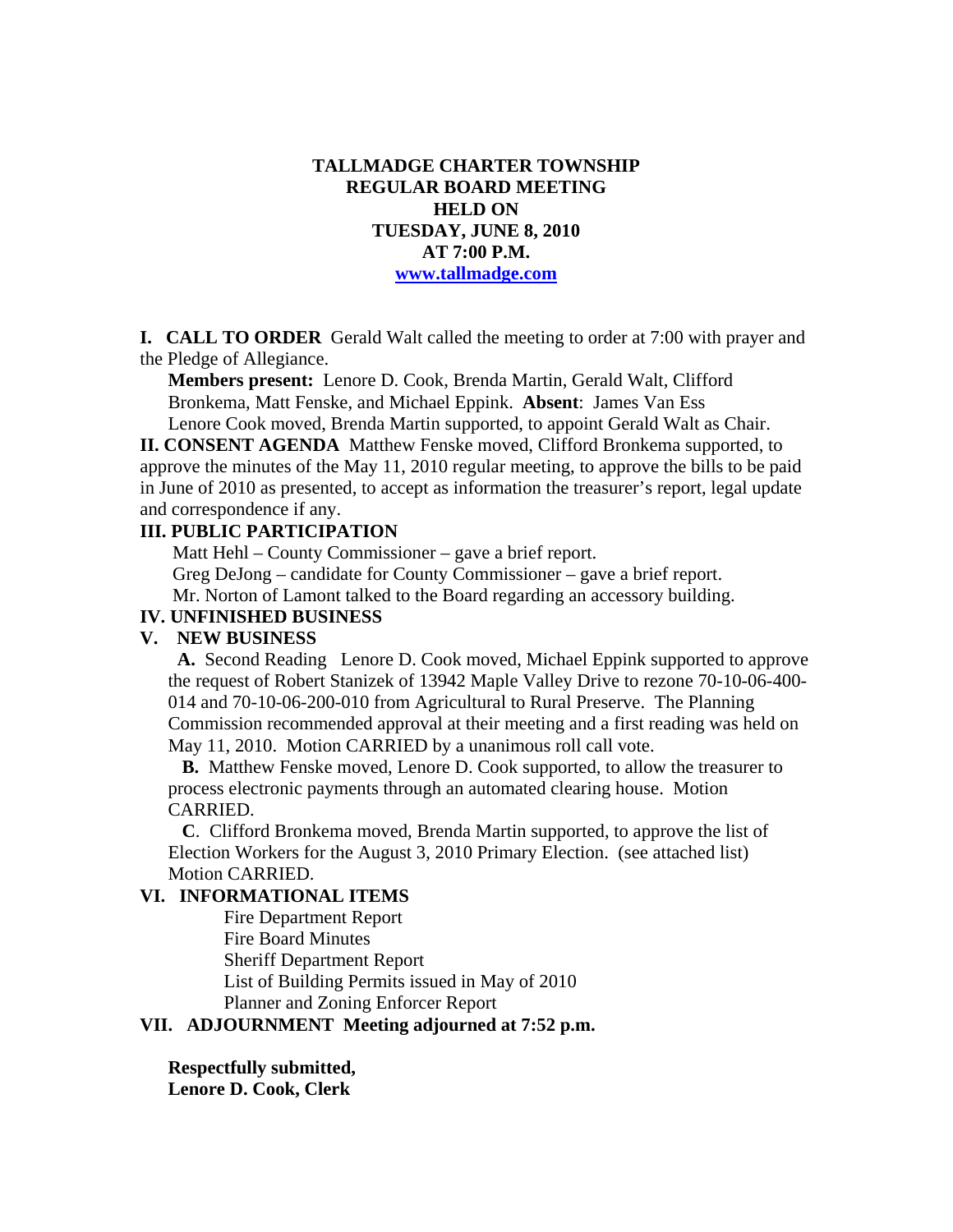## **TALLMADGE CHARTER TOWNSHIP REGULAR BOARD MEETING HELD ON TUESDAY, JUNE 8, 2010 AT 7:00 P.M. www.tallmadge.com**

**I. CALL TO ORDER** Gerald Walt called the meeting to order at 7:00 with prayer and the Pledge of Allegiance.

**Members present:** Lenore D. Cook, Brenda Martin, Gerald Walt, Clifford Bronkema, Matt Fenske, and Michael Eppink. **Absent**: James Van Ess Lenore Cook moved, Brenda Martin supported, to appoint Gerald Walt as Chair.

**II. CONSENT AGENDA** Matthew Fenske moved, Clifford Bronkema supported, to approve the minutes of the May 11, 2010 regular meeting, to approve the bills to be paid in June of 2010 as presented, to accept as information the treasurer's report, legal update and correspondence if any.

#### **III. PUBLIC PARTICIPATION**

 Matt Hehl – County Commissioner – gave a brief report. Greg DeJong – candidate for County Commissioner – gave a brief report. Mr. Norton of Lamont talked to the Board regarding an accessory building.

# **IV. UNFINISHED BUSINESS**

### **V. NEW BUSINESS**

 **A.** Second Reading Lenore D. Cook moved, Michael Eppink supported to approve the request of Robert Stanizek of 13942 Maple Valley Drive to rezone 70-10-06-400- 014 and 70-10-06-200-010 from Agricultural to Rural Preserve. The Planning Commission recommended approval at their meeting and a first reading was held on May 11, 2010. Motion CARRIED by a unanimous roll call vote.

 **B.** Matthew Fenske moved, Lenore D. Cook supported, to allow the treasurer to process electronic payments through an automated clearing house. Motion CARRIED.

 **C**. Clifford Bronkema moved, Brenda Martin supported, to approve the list of Election Workers for the August 3, 2010 Primary Election. (see attached list) Motion CARRIED.

#### **VI. INFORMATIONAL ITEMS**

Fire Department Report Fire Board Minutes Sheriff Department Report List of Building Permits issued in May of 2010 Planner and Zoning Enforcer Report

### **VII. ADJOURNMENT Meeting adjourned at 7:52 p.m.**

**Respectfully submitted,** 

**Lenore D. Cook, Clerk**